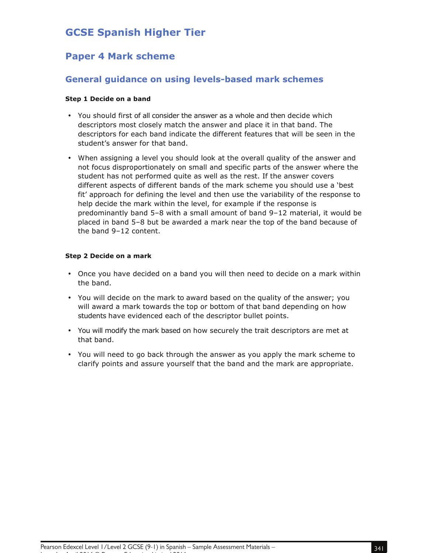# **GCSE Spanish Higher Tier**

## **Paper 4 Mark scheme**

## **General guidance on using levels-based mark schemes**

#### **Step 1 Decide on a band**

- You should first of all consider the answer as a whole and then decide which descriptors most closely match the answer and place it in that band. The descriptors for each band indicate the different features that will be seen in the student's answer for that band.
- When assigning a level you should look at the overall quality of the answer and not focus disproportionately on small and specific parts of the answer where the student has not performed quite as well as the rest. If the answer covers different aspects of different bands of the mark scheme you should use a 'best fit' approach for defining the level and then use the variability of the response to help decide the mark within the level, for example if the response is predominantly band 5–8 with a small amount of band 9–12 material, it would be placed in band 5–8 but be awarded a mark near the top of the band because of the band 9–12 content.

#### **Step 2 Decide on a mark**

- Once you have decided on a band you will then need to decide on a mark within the band.
- You will decide on the mark to award based on the quality of the answer; you will award a mark towards the top or bottom of that band depending on how students have evidenced each of the descriptor bullet points.
- You will modify the mark based on how securely the trait descriptors are met at that band.
- You will need to go back through the answer as you apply the mark scheme to clarify points and assure yourself that the band and the mark are appropriate.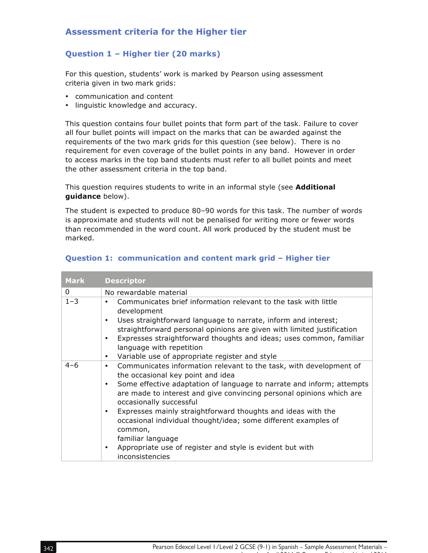## **Assessment criteria for the Higher tier**

## **Question 1 – Higher tier (20 marks)**

For this question, students' work is marked by Pearson using assessment criteria given in two mark grids:

- communication and content
- linguistic knowledge and accuracy.

This question contains four bullet points that form part of the task. Failure to cover all four bullet points will impact on the marks that can be awarded against the requirements of the two mark grids for this question (see below). There is no requirement for even coverage of the bullet points in any band. However in order to access marks in the top band students must refer to all bullet points and meet the other assessment criteria in the top band.

This question requires students to write in an informal style (see **Additional guidance** below).

The student is expected to produce 80–90 words for this task. The number of words is approximate and students will not be penalised for writing more or fewer words than recommended in the word count. All work produced by the student must be marked.

|  | Question 1: communication and content mark grid - Higher tier |  |  |  |  |  |  |
|--|---------------------------------------------------------------|--|--|--|--|--|--|
|--|---------------------------------------------------------------|--|--|--|--|--|--|

| <b>Mark</b>  | <b>Descriptor</b>                                                                                                                                                                                                                                                                                                             |
|--------------|-------------------------------------------------------------------------------------------------------------------------------------------------------------------------------------------------------------------------------------------------------------------------------------------------------------------------------|
| $\mathbf{0}$ | No rewardable material                                                                                                                                                                                                                                                                                                        |
| $1 - 3$      | Communicates brief information relevant to the task with little<br>development<br>Uses straightforward language to narrate, inform and interest;<br>straightforward personal opinions are given with limited justification<br>Expresses straightforward thoughts and ideas; uses common, familiar<br>language with repetition |
|              | Variable use of appropriate register and style<br>٠                                                                                                                                                                                                                                                                           |
| $4 - 6$      | Communicates information relevant to the task, with development of<br>٠<br>the occasional key point and idea<br>Some effective adaptation of language to narrate and inform; attempts<br>are made to interest and give convincing personal opinions which are<br>occasionally successful<br>٠                                 |
|              | Expresses mainly straightforward thoughts and ideas with the<br>occasional individual thought/idea; some different examples of<br>common,<br>familiar language<br>Appropriate use of register and style is evident but with<br>٠<br>inconsistencies                                                                           |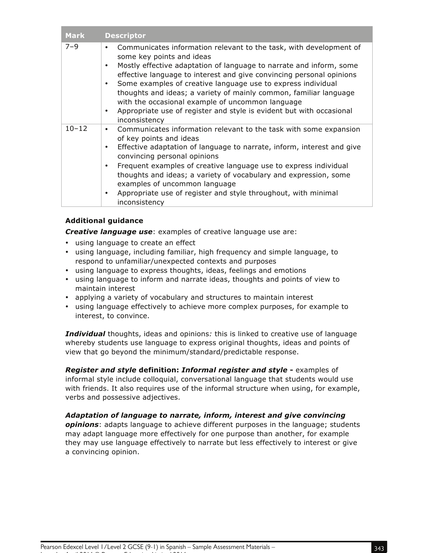| <b>Mark</b> | <b>Descriptor</b>                                                                                                                                                                                                                                                                                                                                                                                                                                                                                                                                                                    |
|-------------|--------------------------------------------------------------------------------------------------------------------------------------------------------------------------------------------------------------------------------------------------------------------------------------------------------------------------------------------------------------------------------------------------------------------------------------------------------------------------------------------------------------------------------------------------------------------------------------|
| $7 - 9$     | Communicates information relevant to the task, with development of<br>$\bullet$<br>some key points and ideas<br>Mostly effective adaptation of language to narrate and inform, some<br>$\bullet$<br>effective language to interest and give convincing personal opinions<br>Some examples of creative language use to express individual<br>$\bullet$<br>thoughts and ideas; a variety of mainly common, familiar language<br>with the occasional example of uncommon language<br>Appropriate use of register and style is evident but with occasional<br>$\bullet$<br>inconsistency |
| $10 - 12$   | Communicates information relevant to the task with some expansion<br>$\bullet$<br>of key points and ideas<br>Effective adaptation of language to narrate, inform, interest and give<br>$\bullet$<br>convincing personal opinions<br>Frequent examples of creative language use to express individual<br>٠<br>thoughts and ideas; a variety of vocabulary and expression, some<br>examples of uncommon language<br>Appropriate use of register and style throughout, with minimal<br>$\bullet$<br>inconsistency                                                                       |

### **Additional guidance**

*Creative language use*: examples of creative language use are:

- using language to create an effect
- using language, including familiar, high frequency and simple language, to respond to unfamiliar/unexpected contexts and purposes
- using language to express thoughts, ideas, feelings and emotions
- using language to inform and narrate ideas, thoughts and points of view to maintain interest
- applying a variety of vocabulary and structures to maintain interest
- using language effectively to achieve more complex purposes, for example to interest, to convince.

*Individual* thoughts, ideas and opinions*:* this is linked to creative use of language whereby students use language to express original thoughts, ideas and points of view that go beyond the minimum/standard/predictable response.

*Register and style* **definition:** *Informal register and style* **-** examples of informal style include colloquial, conversational language that students would use with friends. It also requires use of the informal structure when using, for example, verbs and possessive adjectives.

*Adaptation of language to narrate, inform, interest and give convincing opinions*: adapts language to achieve different purposes in the language; students

may adapt language more effectively for one purpose than another, for example they may use language effectively to narrate but less effectively to interest or give a convincing opinion.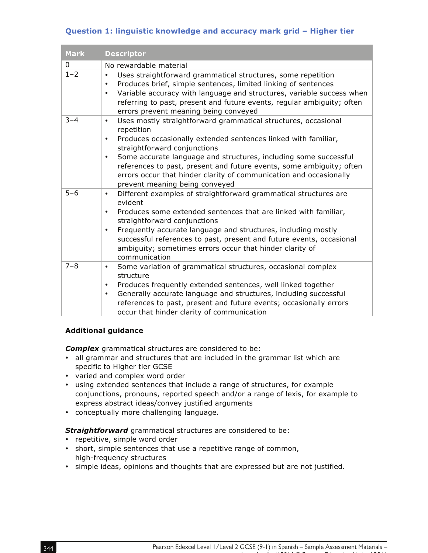## **Question 1: linguistic knowledge and accuracy mark grid – Higher tier**

| <b>Mark</b> | <b>Descriptor</b>                                                                                                                                                                                                                                                                                                                                                                                                                                                         |
|-------------|---------------------------------------------------------------------------------------------------------------------------------------------------------------------------------------------------------------------------------------------------------------------------------------------------------------------------------------------------------------------------------------------------------------------------------------------------------------------------|
| 0           | No rewardable material                                                                                                                                                                                                                                                                                                                                                                                                                                                    |
| $1 - 2$     | Uses straightforward grammatical structures, some repetition<br>$\bullet$<br>Produces brief, simple sentences, limited linking of sentences<br>٠<br>Variable accuracy with language and structures, variable success when<br>$\bullet$<br>referring to past, present and future events, regular ambiguity; often<br>errors prevent meaning being conveyed                                                                                                                 |
| $3 - 4$     | Uses mostly straightforward grammatical structures, occasional<br>$\bullet$<br>repetition<br>Produces occasionally extended sentences linked with familiar,<br>$\bullet$<br>straightforward conjunctions<br>Some accurate language and structures, including some successful<br>$\bullet$<br>references to past, present and future events, some ambiguity; often<br>errors occur that hinder clarity of communication and occasionally<br>prevent meaning being conveyed |
| $5 - 6$     | Different examples of straightforward grammatical structures are<br>$\bullet$<br>evident<br>Produces some extended sentences that are linked with familiar,<br>$\bullet$<br>straightforward conjunctions<br>Frequently accurate language and structures, including mostly<br>٠<br>successful references to past, present and future events, occasional<br>ambiguity; sometimes errors occur that hinder clarity of<br>communication                                       |
| $7 - 8$     | Some variation of grammatical structures, occasional complex<br>$\bullet$<br>structure<br>Produces frequently extended sentences, well linked together<br>$\bullet$<br>Generally accurate language and structures, including successful<br>٠<br>references to past, present and future events; occasionally errors<br>occur that hinder clarity of communication                                                                                                          |

#### **Additional guidance**

*Complex* grammatical structures are considered to be:

- all grammar and structures that are included in the grammar list which are specific to Higher tier GCSE
- varied and complex word order
- using extended sentences that include a range of structures, for example conjunctions, pronouns, reported speech and/or a range of lexis, for example to express abstract ideas/convey justified arguments
- conceptually more challenging language.

*Straightforward* grammatical structures are considered to be:

- repetitive, simple word order
- short, simple sentences that use a repetitive range of common, high-frequency structures
- simple ideas, opinions and thoughts that are expressed but are not justified.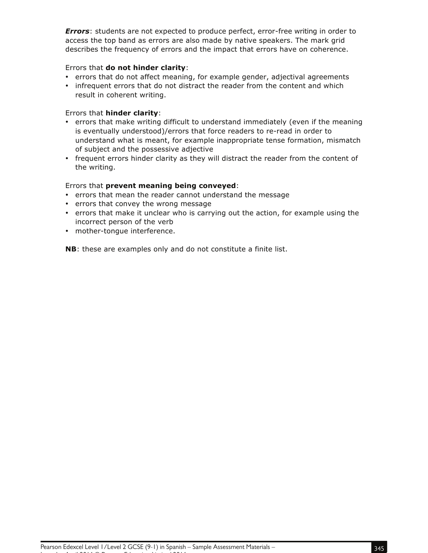*Errors*: students are not expected to produce perfect, error-free writing in order to access the top band as errors are also made by native speakers. The mark grid describes the frequency of errors and the impact that errors have on coherence.

#### Errors that **do not hinder clarity**:

- errors that do not affect meaning, for example gender, adjectival agreements
- infrequent errors that do not distract the reader from the content and which result in coherent writing.

#### Errors that **hinder clarity**:

- errors that make writing difficult to understand immediately (even if the meaning is eventually understood)/errors that force readers to re-read in order to understand what is meant, for example inappropriate tense formation, mismatch of subject and the possessive adjective
- frequent errors hinder clarity as they will distract the reader from the content of the writing.

#### Errors that **prevent meaning being conveyed**:

- errors that mean the reader cannot understand the message
- errors that convey the wrong message
- errors that make it unclear who is carrying out the action, for example using the incorrect person of the verb
- mother-tongue interference.

**NB**: these are examples only and do not constitute a finite list.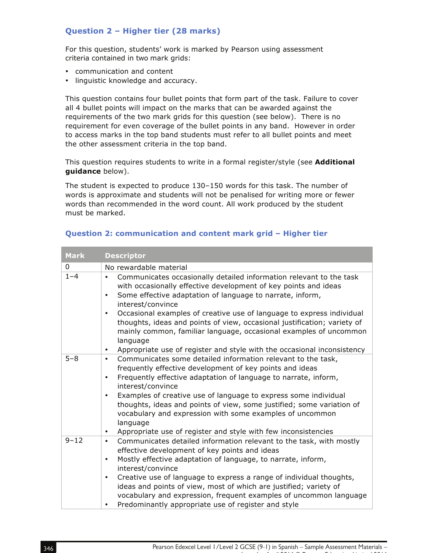## **Question 2 – Higher tier (28 marks)**

For this question, students' work is marked by Pearson using assessment criteria contained in two mark grids:

- communication and content
- linguistic knowledge and accuracy.

This question contains four bullet points that form part of the task. Failure to cover all 4 bullet points will impact on the marks that can be awarded against the requirements of the two mark grids for this question (see below). There is no requirement for even coverage of the bullet points in any band. However in order to access marks in the top band students must refer to all bullet points and meet the other assessment criteria in the top band.

This question requires students to write in a formal register/style (see **Additional guidance** below).

The student is expected to produce 130–150 words for this task. The number of words is approximate and students will not be penalised for writing more or fewer words than recommended in the word count. All work produced by the student must be marked.

| <b>Mark</b> | <b>Descriptor</b>                                                                                                                                                                                                                                                                                                                                                                                                                                                                                                                                                                |
|-------------|----------------------------------------------------------------------------------------------------------------------------------------------------------------------------------------------------------------------------------------------------------------------------------------------------------------------------------------------------------------------------------------------------------------------------------------------------------------------------------------------------------------------------------------------------------------------------------|
| 0           | No rewardable material                                                                                                                                                                                                                                                                                                                                                                                                                                                                                                                                                           |
| $1 - 4$     | Communicates occasionally detailed information relevant to the task<br>$\bullet$<br>with occasionally effective development of key points and ideas<br>Some effective adaptation of language to narrate, inform,<br>interest/convince<br>Occasional examples of creative use of language to express individual<br>$\bullet$<br>thoughts, ideas and points of view, occasional justification; variety of<br>mainly common, familiar language, occasional examples of uncommon<br>language<br>Appropriate use of register and style with the occasional inconsistency<br>$\bullet$ |
| $5 - 8$     | Communicates some detailed information relevant to the task,<br>$\bullet$<br>frequently effective development of key points and ideas<br>Frequently effective adaptation of language to narrate, inform,<br>$\bullet$<br>interest/convince<br>Examples of creative use of language to express some individual<br>$\bullet$<br>thoughts, ideas and points of view, some justified; some variation of<br>vocabulary and expression with some examples of uncommon<br>language<br>Appropriate use of register and style with few inconsistencies<br>$\bullet$                       |
| $9 - 12$    | Communicates detailed information relevant to the task, with mostly<br>$\bullet$<br>effective development of key points and ideas<br>Mostly effective adaptation of language, to narrate, inform,<br>$\bullet$<br>interest/convince<br>Creative use of language to express a range of individual thoughts,<br>$\bullet$<br>ideas and points of view, most of which are justified; variety of<br>vocabulary and expression, frequent examples of uncommon language<br>Predominantly appropriate use of register and style<br>٠                                                    |

#### **Question 2: communication and content mark grid – Higher tier**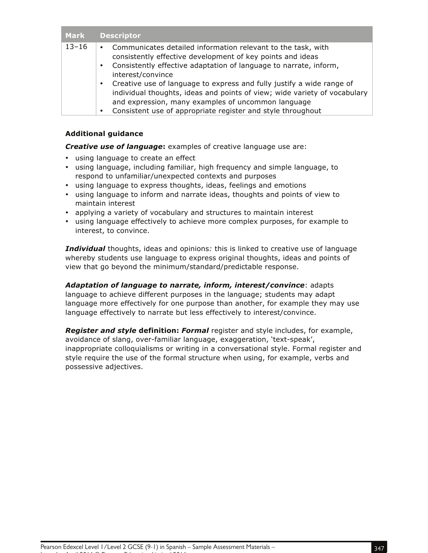| <b>Mark</b> | <b>Descriptor</b>                                                                                                                                                                                                                                                                                                                                                                                                                                                                                                                      |
|-------------|----------------------------------------------------------------------------------------------------------------------------------------------------------------------------------------------------------------------------------------------------------------------------------------------------------------------------------------------------------------------------------------------------------------------------------------------------------------------------------------------------------------------------------------|
| $13 - 16$   | Communicates detailed information relevant to the task, with<br>$\bullet$<br>consistently effective development of key points and ideas<br>Consistently effective adaptation of language to narrate, inform,<br>$\bullet$<br>interest/convince<br>Creative use of language to express and fully justify a wide range of<br>$\bullet$<br>individual thoughts, ideas and points of view; wide variety of vocabulary<br>and expression, many examples of uncommon language<br>Consistent use of appropriate register and style throughout |

#### **Additional guidance**

*Creative use of language***:** examples of creative language use are:

- using language to create an effect
- using language, including familiar, high frequency and simple language, to respond to unfamiliar/unexpected contexts and purposes
- using language to express thoughts, ideas, feelings and emotions
- using language to inform and narrate ideas, thoughts and points of view to maintain interest
- applying a variety of vocabulary and structures to maintain interest
- using language effectively to achieve more complex purposes, for example to interest, to convince.

*Individual* thoughts, ideas and opinions*:* this is linked to creative use of language whereby students use language to express original thoughts, ideas and points of view that go beyond the minimum/standard/predictable response.

*Adaptation of language to narrate, inform, interest/convince*: adapts language to achieve different purposes in the language; students may adapt language more effectively for one purpose than another, for example they may use language effectively to narrate but less effectively to interest/convince.

*Register and style* **definition:** *Formal* register and style includes, for example, avoidance of slang, over-familiar language, exaggeration, 'text-speak', inappropriate colloquialisms or writing in a conversational style. Formal register and style require the use of the formal structure when using, for example, verbs and possessive adjectives.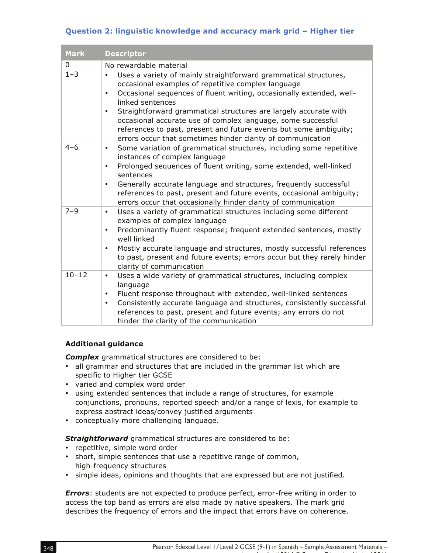## **Question 2: linguistic knowledge and accuracy mark grid – Higher tier**

| <b>Mark</b> | <b>Descriptor</b>                                                                                                                                                                                                                                                                                                                                                                                                                                                                                                                 |
|-------------|-----------------------------------------------------------------------------------------------------------------------------------------------------------------------------------------------------------------------------------------------------------------------------------------------------------------------------------------------------------------------------------------------------------------------------------------------------------------------------------------------------------------------------------|
| $\mathbf 0$ | No rewardable material                                                                                                                                                                                                                                                                                                                                                                                                                                                                                                            |
| $1 - 3$     | Uses a variety of mainly straightforward grammatical structures,<br>$\bullet$<br>occasional examples of repetitive complex language<br>Occasional sequences of fluent writing, occasionally extended, well-<br>$\bullet$<br>linked sentences<br>Straightforward grammatical structures are largely accurate with<br>$\bullet$<br>occasional accurate use of complex language, some successful<br>references to past, present and future events but some ambiguity;<br>errors occur that sometimes hinder clarity of communication |
| $4 - 6$     | Some variation of grammatical structures, including some repetitive<br>٠<br>instances of complex language<br>Prolonged sequences of fluent writing, some extended, well-linked<br>$\bullet$<br>sentences<br>Generally accurate language and structures, frequently successful<br>$\bullet$<br>references to past, present and future events, occasional ambiguity;<br>errors occur that occasionally hinder clarity of communication                                                                                              |
| $7 - 9$     | Uses a variety of grammatical structures including some different<br>$\bullet$<br>examples of complex language<br>Predominantly fluent response; frequent extended sentences, mostly<br>$\bullet$<br>well linked<br>Mostly accurate language and structures, mostly successful references<br>$\bullet$<br>to past, present and future events; errors occur but they rarely hinder<br>clarity of communication                                                                                                                     |
| $10 - 12$   | Uses a wide variety of grammatical structures, including complex<br>$\bullet$<br>language<br>Fluent response throughout with extended, well-linked sentences<br>$\bullet$<br>Consistently accurate language and structures, consistently successful<br>$\bullet$<br>references to past, present and future events; any errors do not<br>hinder the clarity of the communication                                                                                                                                                   |

### **Additional guidance**

*Complex* grammatical structures are considered to be:

- all grammar and structures that are included in the grammar list which are specific to Higher tier GCSE
- varied and complex word order
- using extended sentences that include a range of structures, for example conjunctions, pronouns, reported speech and/or a range of lexis, for example to express abstract ideas/convey justified arguments
- conceptually more challenging language.

**Straightforward** grammatical structures are considered to be:

- repetitive, simple word order
- short, simple sentences that use a repetitive range of common, high-frequency structures
- simple ideas, opinions and thoughts that are expressed but are not justified.

*Errors*: students are not expected to produce perfect, error-free writing in order to access the top band as errors are also made by native speakers. The mark grid describes the frequency of errors and the impact that errors have on coherence.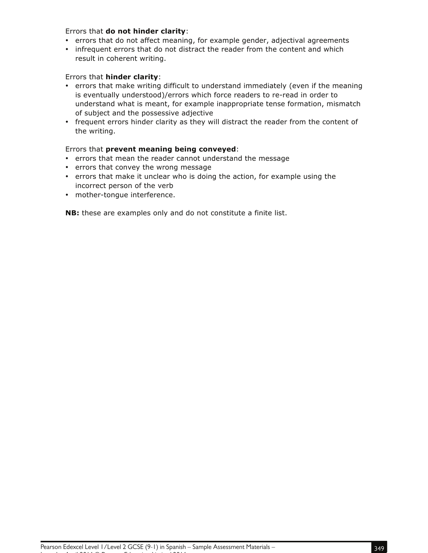#### Errors that **do not hinder clarity**:

- errors that do not affect meaning, for example gender, adjectival agreements
- infrequent errors that do not distract the reader from the content and which result in coherent writing.

#### Errors that **hinder clarity**:

- errors that make writing difficult to understand immediately (even if the meaning is eventually understood)/errors which force readers to re-read in order to understand what is meant, for example inappropriate tense formation, mismatch of subject and the possessive adjective
- frequent errors hinder clarity as they will distract the reader from the content of the writing.

#### Errors that **prevent meaning being conveyed**:

- errors that mean the reader cannot understand the message
- errors that convey the wrong message
- errors that make it unclear who is doing the action, for example using the incorrect person of the verb
- mother-tongue interference.

**NB:** these are examples only and do not constitute a finite list.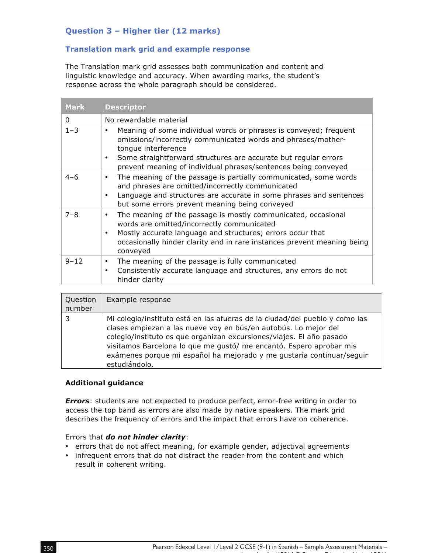## **Question 3 – Higher tier (12 marks)**

### **Translation mark grid and example response**

The Translation mark grid assesses both communication and content and linguistic knowledge and accuracy. When awarding marks, the student's response across the whole paragraph should be considered.

| <b>Mark</b> | <b>Descriptor</b>                                                                                                                                                                                                                                                                                          |
|-------------|------------------------------------------------------------------------------------------------------------------------------------------------------------------------------------------------------------------------------------------------------------------------------------------------------------|
| 0           | No rewardable material                                                                                                                                                                                                                                                                                     |
| $1 - 3$     | Meaning of some individual words or phrases is conveyed; frequent<br>omissions/incorrectly communicated words and phrases/mother-<br>tonque interference<br>Some straightforward structures are accurate but regular errors<br>$\bullet$<br>prevent meaning of individual phrases/sentences being conveyed |
| $4 - 6$     | The meaning of the passage is partially communicated, some words<br>and phrases are omitted/incorrectly communicated<br>Language and structures are accurate in some phrases and sentences<br>but some errors prevent meaning being conveyed                                                               |
| $7 - 8$     | The meaning of the passage is mostly communicated, occasional<br>words are omitted/incorrectly communicated<br>Mostly accurate language and structures; errors occur that<br>occasionally hinder clarity and in rare instances prevent meaning being<br>conveyed                                           |
| $9 - 12$    | The meaning of the passage is fully communicated<br>$\bullet$<br>Consistently accurate language and structures, any errors do not<br>٠<br>hinder clarity                                                                                                                                                   |

| Question<br>number | Example response                                                                                                                                                                                                                                                                                                                                                                        |
|--------------------|-----------------------------------------------------------------------------------------------------------------------------------------------------------------------------------------------------------------------------------------------------------------------------------------------------------------------------------------------------------------------------------------|
| 3                  | Mi colegio/instituto está en las afueras de la ciudad/del pueblo y como las<br>clases empiezan a las nueve voy en bús/en autobús. Lo mejor del<br>colegio/instituto es que organizan excursiones/viajes. El año pasado<br>visitamos Barcelona lo que me gustó/ me encantó. Espero aprobar mis<br>exámenes porque mi español ha mejorado y me gustaría continuar/seguir<br>estudiándolo. |

#### **Additional guidance**

*Errors*: students are not expected to produce perfect, error-free writing in order to access the top band as errors are also made by native speakers. The mark grid describes the frequency of errors and the impact that errors have on coherence.

#### Errors that *do not hinder clarity*:

- errors that do not affect meaning, for example gender, adjectival agreements
- infrequent errors that do not distract the reader from the content and which result in coherent writing.